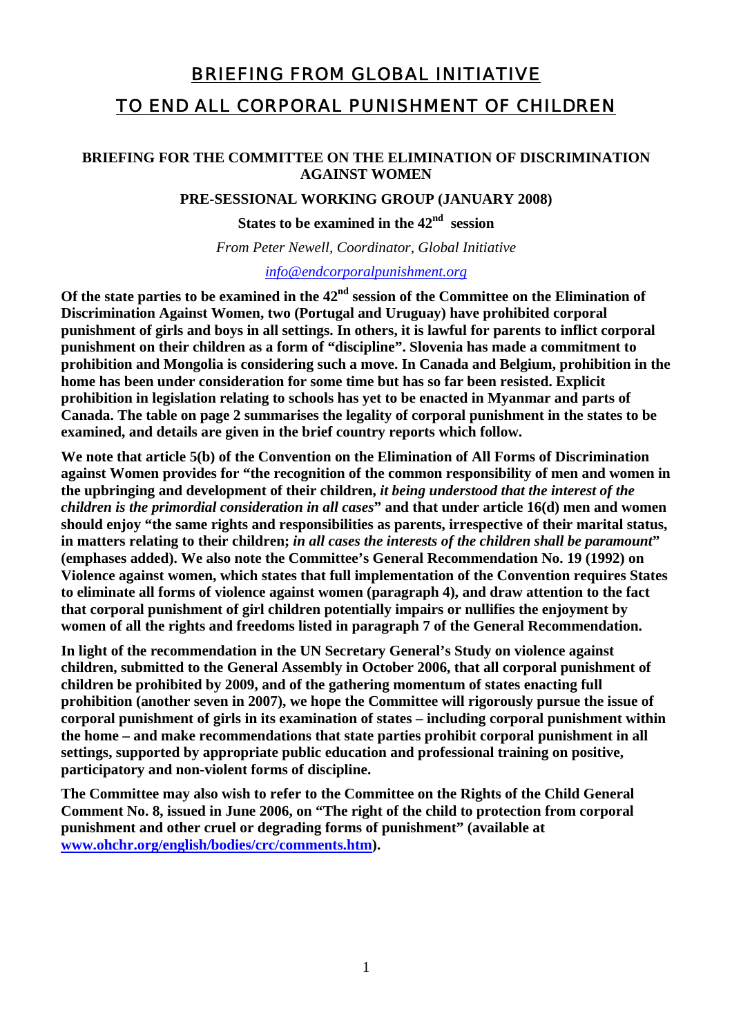# BRIEFING FROM GLOBAL INITIATIVE TO END ALL CORPORAL PUNISHMENT OF CHILDREN

#### **BRIEFING FOR THE COMMITTEE ON THE ELIMINATION OF DISCRIMINATION AGAINST WOMEN**

**PRE-SESSIONAL WORKING GROUP (JANUARY 2008)** 

**States to be examined in the 42nd session**

*From Peter Newell, Coordinator, Global Initiative* 

*[info@endcorporalpunishment.org](mailto:info@endcorporalpunishment.org)*

**Of the state parties to be examined in the 42nd session of the Committee on the Elimination of Discrimination Against Women, two (Portugal and Uruguay) have prohibited corporal punishment of girls and boys in all settings. In others, it is lawful for parents to inflict corporal punishment on their children as a form of "discipline". Slovenia has made a commitment to prohibition and Mongolia is considering such a move. In Canada and Belgium, prohibition in the home has been under consideration for some time but has so far been resisted. Explicit prohibition in legislation relating to schools has yet to be enacted in Myanmar and parts of Canada. The table on page 2 summarises the legality of corporal punishment in the states to be examined, and details are given in the brief country reports which follow.** 

**We note that article 5(b) of the Convention on the Elimination of All Forms of Discrimination against Women provides for "the recognition of the common responsibility of men and women in the upbringing and development of their children,** *it being understood that the interest of the children is the primordial consideration in all cases***" and that under article 16(d) men and women should enjoy "the same rights and responsibilities as parents, irrespective of their marital status, in matters relating to their children;** *in all cases the interests of the children shall be paramount***" (emphases added). We also note the Committee's General Recommendation No. 19 (1992) on Violence against women, which states that full implementation of the Convention requires States to eliminate all forms of violence against women (paragraph 4), and draw attention to the fact that corporal punishment of girl children potentially impairs or nullifies the enjoyment by women of all the rights and freedoms listed in paragraph 7 of the General Recommendation.** 

**In light of the recommendation in the UN Secretary General's Study on violence against children, submitted to the General Assembly in October 2006, that all corporal punishment of children be prohibited by 2009, and of the gathering momentum of states enacting full prohibition (another seven in 2007), we hope the Committee will rigorously pursue the issue of corporal punishment of girls in its examination of states – including corporal punishment within the home – and make recommendations that state parties prohibit corporal punishment in all settings, supported by appropriate public education and professional training on positive, participatory and non-violent forms of discipline.** 

**The Committee may also wish to refer to the Committee on the Rights of the Child General Comment No. 8, issued in June 2006, on "The right of the child to protection from corporal punishment and other cruel or degrading forms of punishment" (available at [www.ohchr.org/english/bodies/crc/comments.htm\)](http://www.ohchr.org/english/bodies/crc/comments.htm).**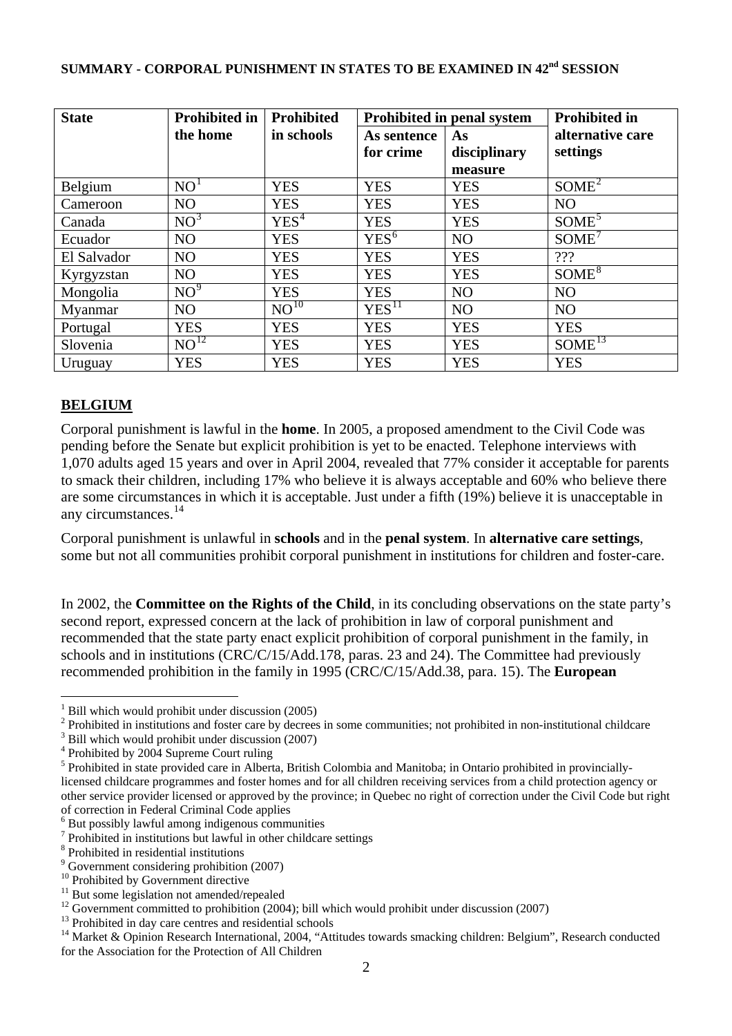| <b>State</b> | <b>Prohibited in</b> | <b>Prohibited</b> | Prohibited in penal system |                | <b>Prohibited in</b> |
|--------------|----------------------|-------------------|----------------------------|----------------|----------------------|
|              | the home             | in schools        | As sentence                | As             | alternative care     |
|              |                      |                   | for crime                  | disciplinary   | settings             |
|              |                      |                   |                            | measure        |                      |
| Belgium      | NO <sup>1</sup>      | <b>YES</b>        | <b>YES</b>                 | <b>YES</b>     | SOME <sup>2</sup>    |
| Cameroon     | NO                   | <b>YES</b>        | <b>YES</b>                 | <b>YES</b>     | N <sub>O</sub>       |
| Canada       | NO <sup>3</sup>      | YES <sup>4</sup>  | <b>YES</b>                 | <b>YES</b>     | SOME <sup>5</sup>    |
| Ecuador      | NO                   | <b>YES</b>        | YES <sup>6</sup>           | NO             | SOME <sup>1</sup>    |
| El Salvador  | N <sub>O</sub>       | <b>YES</b>        | <b>YES</b>                 | <b>YES</b>     | 222                  |
| Kyrgyzstan   | NO                   | <b>YES</b>        | <b>YES</b>                 | <b>YES</b>     | SOME <sup>8</sup>    |
| Mongolia     | NO <sup>9</sup>      | <b>YES</b>        | <b>YES</b>                 | N <sub>O</sub> | N <sub>O</sub>       |
| Myanmar      | N <sub>O</sub>       | $NO^{10}$         | YES <sup>11</sup>          | N <sub>O</sub> | N <sub>O</sub>       |
| Portugal     | <b>YES</b>           | <b>YES</b>        | <b>YES</b>                 | <b>YES</b>     | <b>YES</b>           |
| Slovenia     | $NO^{12}$            | <b>YES</b>        | <b>YES</b>                 | <b>YES</b>     | $SOME^{13}$          |
| Uruguay      | <b>YES</b>           | <b>YES</b>        | <b>YES</b>                 | <b>YES</b>     | <b>YES</b>           |

## **SUMMARY - CORPORAL PUNISHMENT IN STATES TO BE EXAMINED IN 42<sup>nd</sup> SESSION**

#### **BELGIUM**

 $\overline{a}$ 

Corporal punishment is lawful in the **home**. In 2005, a proposed amendment to the Civil Code was pending before the Senate but explicit prohibition is yet to be enacted. Telephone interviews with 1,070 adults aged 15 years and over in April 2004, revealed that 77% consider it acceptable for parents to smack their children, including 17% who believe it is always acceptable and 60% who believe there are some circumstances in which it is acceptable. Just under a fifth (19%) believe it is unacceptable in any circumstances.[14](#page-1-13)

Corporal punishment is unlawful in **schools** and in the **penal system**. In **alternative care settings**, some but not all communities prohibit corporal punishment in institutions for children and foster-care.

In 2002, the **Committee on the Rights of the Child**, in its concluding observations on the state party's second report, expressed concern at the lack of prohibition in law of corporal punishment and recommended that the state party enact explicit prohibition of corporal punishment in the family, in schools and in institutions (CRC/C/15/Add.178, paras. 23 and 24). The Committee had previously recommended prohibition in the family in 1995 (CRC/C/15/Add.38, para. 15). The **European** 

<span id="page-1-0"></span><sup>&</sup>lt;sup>1</sup> Bill which would prohibit under discussion (2005)

<span id="page-1-1"></span> $2^2$  Prohibited in institutions and foster care by decrees in some communities; not prohibited in non-institutional childcare

<span id="page-1-2"></span><sup>&</sup>lt;sup>3</sup> Bill which would prohibit under discussion (2007)

<span id="page-1-3"></span><sup>&</sup>lt;sup>4</sup> Prohibited by 2004 Supreme Court ruling

<span id="page-1-4"></span><sup>&</sup>lt;sup>5</sup> Prohibited in state provided care in Alberta, British Colombia and Manitoba; in Ontario prohibited in provinciallylicensed childcare programmes and foster homes and for all children receiving services from a child protection agency or other service provider licensed or approved by the province; in Quebec no right of correction under the Civil Code but right of correction in Federal Criminal Code applies

<span id="page-1-5"></span><sup>6</sup> But possibly lawful among indigenous communities

<span id="page-1-6"></span><sup>7</sup> Prohibited in institutions but lawful in other childcare settings

<span id="page-1-7"></span><sup>8</sup> Prohibited in residential institutions

<span id="page-1-8"></span><sup>&</sup>lt;sup>9</sup> Government considering prohibition (2007)

<span id="page-1-9"></span><sup>&</sup>lt;sup>10</sup> Prohibited by Government directive

<span id="page-1-10"></span> $11$  But some legislation not amended/repealed

<span id="page-1-11"></span> $12$  Government committed to prohibition (2004); bill which would prohibit under discussion (2007)

<span id="page-1-12"></span><sup>&</sup>lt;sup>13</sup> Prohibited in day care centres and residential schools

<span id="page-1-13"></span><sup>&</sup>lt;sup>14</sup> Market & Opinion Research International, 2004, "Attitudes towards smacking children: Belgium", Research conducted for the Association for the Protection of All Children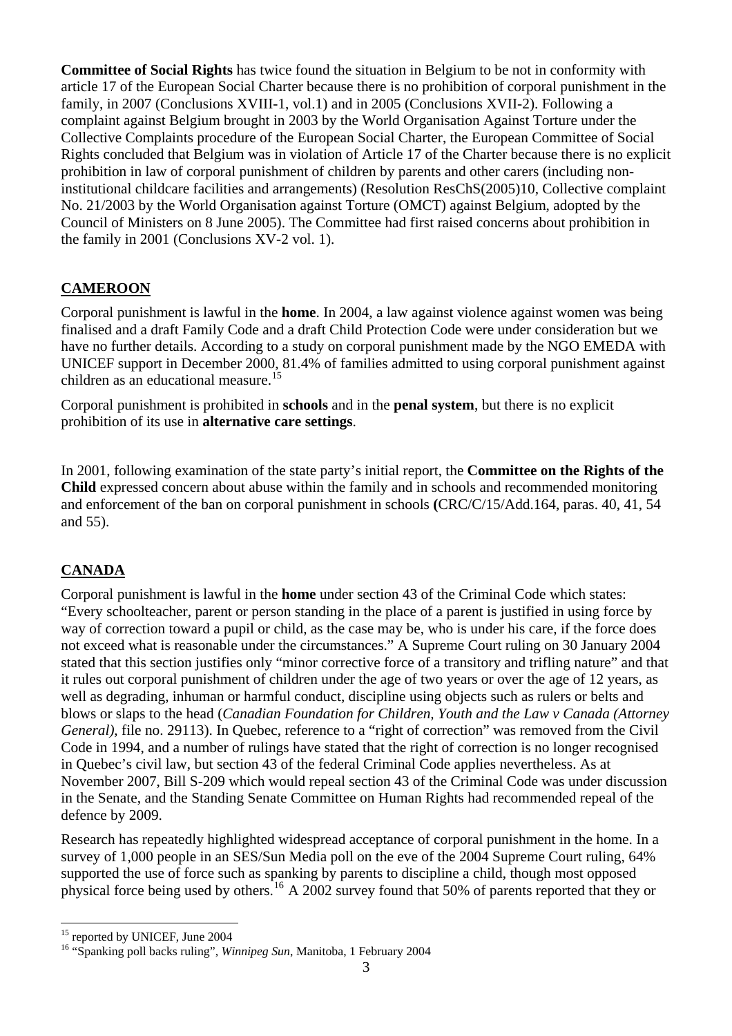**Committee of Social Rights** has twice found the situation in Belgium to be not in conformity with article 17 of the European Social Charter because there is no prohibition of corporal punishment in the family, in 2007 (Conclusions XVIII-1, vol.1) and in 2005 (Conclusions XVII-2). Following a complaint against Belgium brought in 2003 by the World Organisation Against Torture under the Collective Complaints procedure of the European Social Charter, the European Committee of Social Rights concluded that Belgium was in violation of Article 17 of the Charter because there is no explicit prohibition in law of corporal punishment of children by parents and other carers (including noninstitutional childcare facilities and arrangements) (Resolution ResChS(2005)10, Collective complaint No. 21/2003 by the World Organisation against Torture (OMCT) against Belgium, adopted by the Council of Ministers on 8 June 2005). The Committee had first raised concerns about prohibition in the family in 2001 (Conclusions XV-2 vol. 1).

### **CAMEROON**

Corporal punishment is lawful in the **home**. In 2004, a law against violence against women was being finalised and a draft Family Code and a draft Child Protection Code were under consideration but we have no further details. According to a study on corporal punishment made by the NGO EMEDA with UNICEF support in December 2000, 81.4% of families admitted to using corporal punishment against children as an educational measure.<sup>[15](#page-2-0)</sup>

Corporal punishment is prohibited in **schools** and in the **penal system**, but there is no explicit prohibition of its use in **alternative care settings**.

In 2001, following examination of the state party's initial report, the **Committee on the Rights of the Child** expressed concern about abuse within the family and in schools and recommended monitoring and enforcement of the ban on corporal punishment in schools **(**CRC/C/15/Add.164, paras. 40, 41, 54 and 55).

## **CANADA**

Corporal punishment is lawful in the **home** under section 43 of the Criminal Code which states: "Every schoolteacher, parent or person standing in the place of a parent is justified in using force by way of correction toward a pupil or child, as the case may be, who is under his care, if the force does not exceed what is reasonable under the circumstances." A Supreme Court ruling on 30 January 2004 stated that this section justifies only "minor corrective force of a transitory and trifling nature" and that it rules out corporal punishment of children under the age of two years or over the age of 12 years, as well as degrading, inhuman or harmful conduct, discipline using objects such as rulers or belts and blows or slaps to the head (*Canadian Foundation for Children, Youth and the Law v Canada (Attorney General*), file no. 29113). In Quebec, reference to a "right of correction" was removed from the Civil Code in 1994, and a number of rulings have stated that the right of correction is no longer recognised in Quebec's civil law, but section 43 of the federal Criminal Code applies nevertheless. As at November 2007, Bill S-209 which would repeal section 43 of the Criminal Code was under discussion in the Senate, and the Standing Senate Committee on Human Rights had recommended repeal of the defence by 2009.

Research has repeatedly highlighted widespread acceptance of corporal punishment in the home. In a survey of 1,000 people in an SES/Sun Media poll on the eve of the 2004 Supreme Court ruling, 64% supported the use of force such as spanking by parents to discipline a child, though most opposed physical force being used by others.<sup>[16](#page-2-1)</sup> A 2002 survey found that 50% of parents reported that they or

 $\overline{a}$ <sup>15</sup> reported by UNICEF, June 2004

<span id="page-2-1"></span><span id="page-2-0"></span><sup>16 &</sup>quot;Spanking poll backs ruling", *Winnipeg Sun*, Manitoba, 1 February 2004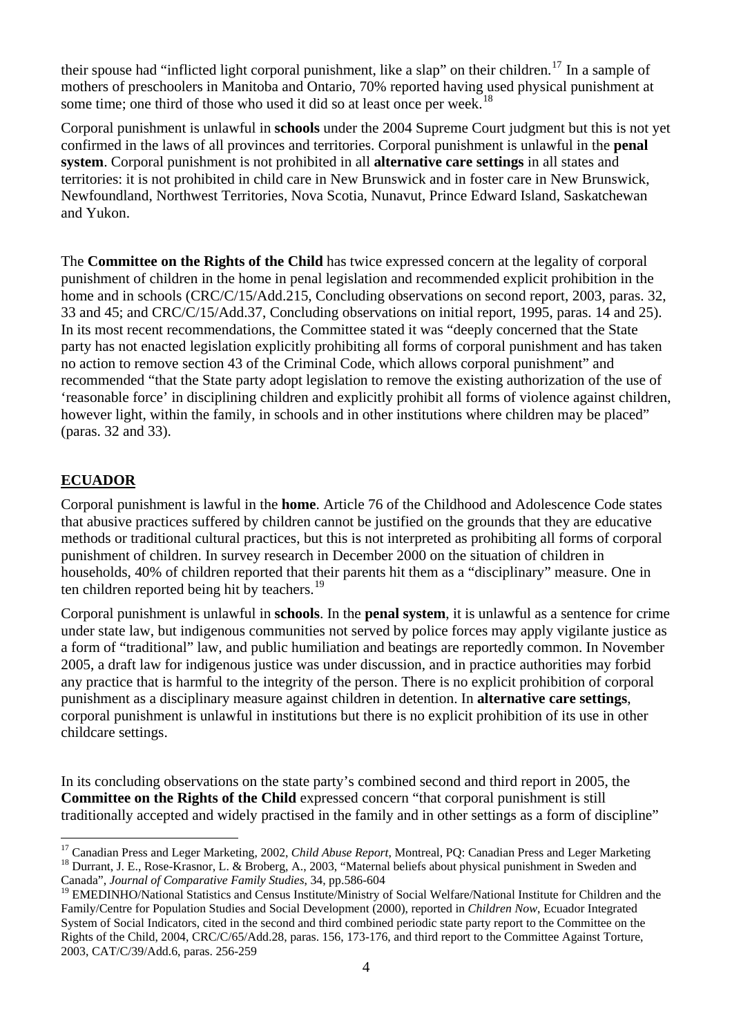their spouse had "inflicted light corporal punishment, like a slap" on their children.<sup>[17](#page-3-0)</sup> In a sample of mothers of preschoolers in Manitoba and Ontario, 70% reported having used physical punishment at some time; one third of those who used it did so at least once per week.<sup>[18](#page-3-1)</sup>

Corporal punishment is unlawful in **schools** under the 2004 Supreme Court judgment but this is not yet confirmed in the laws of all provinces and territories. Corporal punishment is unlawful in the **penal system**. Corporal punishment is not prohibited in all **alternative care settings** in all states and territories: it is not prohibited in child care in New Brunswick and in foster care in New Brunswick, Newfoundland, Northwest Territories, Nova Scotia, Nunavut, Prince Edward Island, Saskatchewan and Yukon.

The **Committee on the Rights of the Child** has twice expressed concern at the legality of corporal punishment of children in the home in penal legislation and recommended explicit prohibition in the home and in schools (CRC/C/15/Add.215, Concluding observations on second report, 2003, paras. 32, 33 and 45; and CRC/C/15/Add.37, Concluding observations on initial report, 1995, paras. 14 and 25). In its most recent recommendations, the Committee stated it was "deeply concerned that the State party has not enacted legislation explicitly prohibiting all forms of corporal punishment and has taken no action to remove section 43 of the Criminal Code, which allows corporal punishment" and recommended "that the State party adopt legislation to remove the existing authorization of the use of 'reasonable force' in disciplining children and explicitly prohibit all forms of violence against children, however light, within the family, in schools and in other institutions where children may be placed" (paras. 32 and 33).

## **ECUADOR**

 $\overline{a}$ 

Corporal punishment is lawful in the **home**. Article 76 of the Childhood and Adolescence Code states that abusive practices suffered by children cannot be justified on the grounds that they are educative methods or traditional cultural practices, but this is not interpreted as prohibiting all forms of corporal punishment of children. In survey research in December 2000 on the situation of children in households, 40% of children reported that their parents hit them as a "disciplinary" measure. One in ten children reported being hit by teachers.<sup>[19](#page-3-2)</sup>

Corporal punishment is unlawful in **schools**. In the **penal system**, it is unlawful as a sentence for crime under state law, but indigenous communities not served by police forces may apply vigilante justice as a form of "traditional" law, and public humiliation and beatings are reportedly common. In November 2005, a draft law for indigenous justice was under discussion, and in practice authorities may forbid any practice that is harmful to the integrity of the person. There is no explicit prohibition of corporal punishment as a disciplinary measure against children in detention. In **alternative care settings**, corporal punishment is unlawful in institutions but there is no explicit prohibition of its use in other childcare settings.

In its concluding observations on the state party's combined second and third report in 2005, the **Committee on the Rights of the Child** expressed concern "that corporal punishment is still traditionally accepted and widely practised in the family and in other settings as a form of discipline"

<span id="page-3-1"></span><span id="page-3-0"></span><sup>&</sup>lt;sup>17</sup> Canadian Press and Leger Marketing, 2002, *Child Abuse Report*, Montreal, PQ: Canadian Press and Leger Marketing  $^{18}$  Durrant, J. E., Rose-Krasnor, L. & Broberg, A., 2003, "Maternal beliefs about physical punishmen Canada", *Journal of Comparative Family Studies*, 34, pp.586-604

<span id="page-3-2"></span><sup>&</sup>lt;sup>19</sup> EMEDINHO/National Statistics and Census Institute/Ministry of Social Welfare/National Institute for Children and the Family/Centre for Population Studies and Social Development (2000), reported in *Children Now*, Ecuador Integrated System of Social Indicators, cited in the second and third combined periodic state party report to the Committee on the Rights of the Child, 2004, CRC/C/65/Add.28, paras. 156, 173-176, and third report to the Committee Against Torture, 2003, CAT/C/39/Add.6, paras. 256-259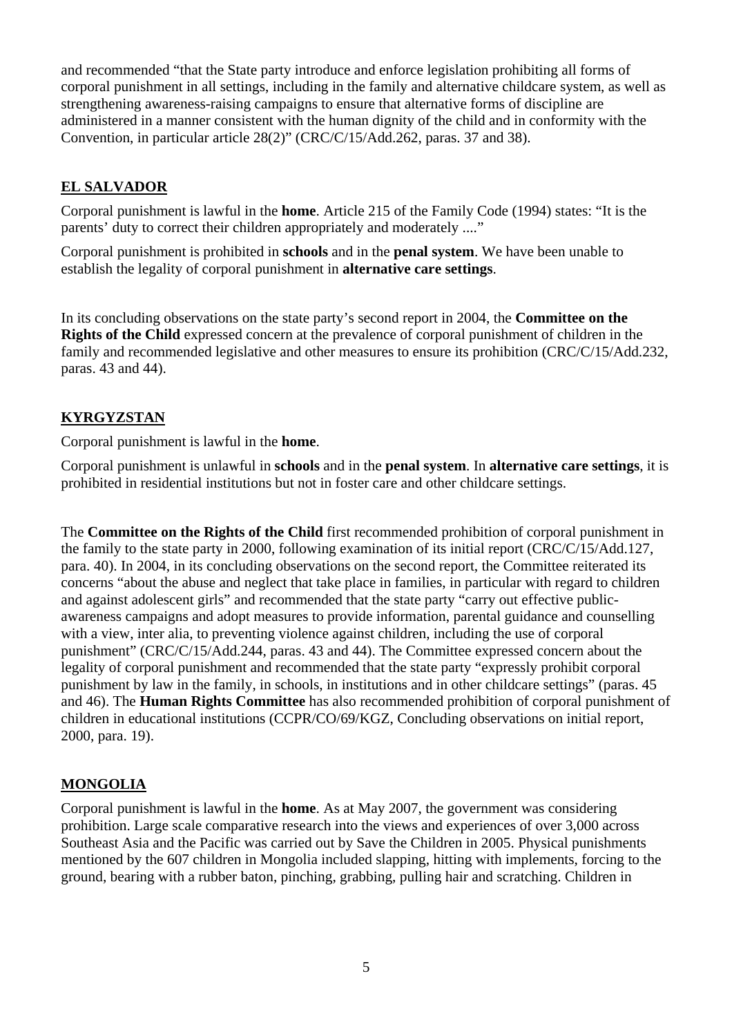and recommended "that the State party introduce and enforce legislation prohibiting all forms of corporal punishment in all settings, including in the family and alternative childcare system, as well as strengthening awareness-raising campaigns to ensure that alternative forms of discipline are administered in a manner consistent with the human dignity of the child and in conformity with the Convention, in particular article 28(2)" (CRC/C/15/Add.262, paras. 37 and 38).

## **EL SALVADOR**

Corporal punishment is lawful in the **home**. Article 215 of the Family Code (1994) states: "It is the parents' duty to correct their children appropriately and moderately ...."

Corporal punishment is prohibited in **schools** and in the **penal system**. We have been unable to establish the legality of corporal punishment in **alternative care settings**.

In its concluding observations on the state party's second report in 2004, the **Committee on the Rights of the Child** expressed concern at the prevalence of corporal punishment of children in the family and recommended legislative and other measures to ensure its prohibition (CRC/C/15/Add.232, paras. 43 and 44).

### **KYRGYZSTAN**

Corporal punishment is lawful in the **home**.

Corporal punishment is unlawful in **schools** and in the **penal system**. In **alternative care settings**, it is prohibited in residential institutions but not in foster care and other childcare settings.

The **Committee on the Rights of the Child** first recommended prohibition of corporal punishment in the family to the state party in 2000, following examination of its initial report (CRC/C/15/Add.127, para. 40). In 2004, in its concluding observations on the second report, the Committee reiterated its concerns "about the abuse and neglect that take place in families, in particular with regard to children and against adolescent girls" and recommended that the state party "carry out effective publicawareness campaigns and adopt measures to provide information, parental guidance and counselling with a view, inter alia, to preventing violence against children, including the use of corporal punishment" (CRC/C/15/Add.244, paras. 43 and 44). The Committee expressed concern about the legality of corporal punishment and recommended that the state party "expressly prohibit corporal punishment by law in the family, in schools, in institutions and in other childcare settings" (paras. 45 and 46). The **Human Rights Committee** has also recommended prohibition of corporal punishment of children in educational institutions (CCPR/CO/69/KGZ, Concluding observations on initial report, 2000, para. 19).

#### **MONGOLIA**

Corporal punishment is lawful in the **home**. As at May 2007, the government was considering prohibition. Large scale comparative research into the views and experiences of over 3,000 across Southeast Asia and the Pacific was carried out by Save the Children in 2005. Physical punishments mentioned by the 607 children in Mongolia included slapping, hitting with implements, forcing to the ground, bearing with a rubber baton, pinching, grabbing, pulling hair and scratching. Children in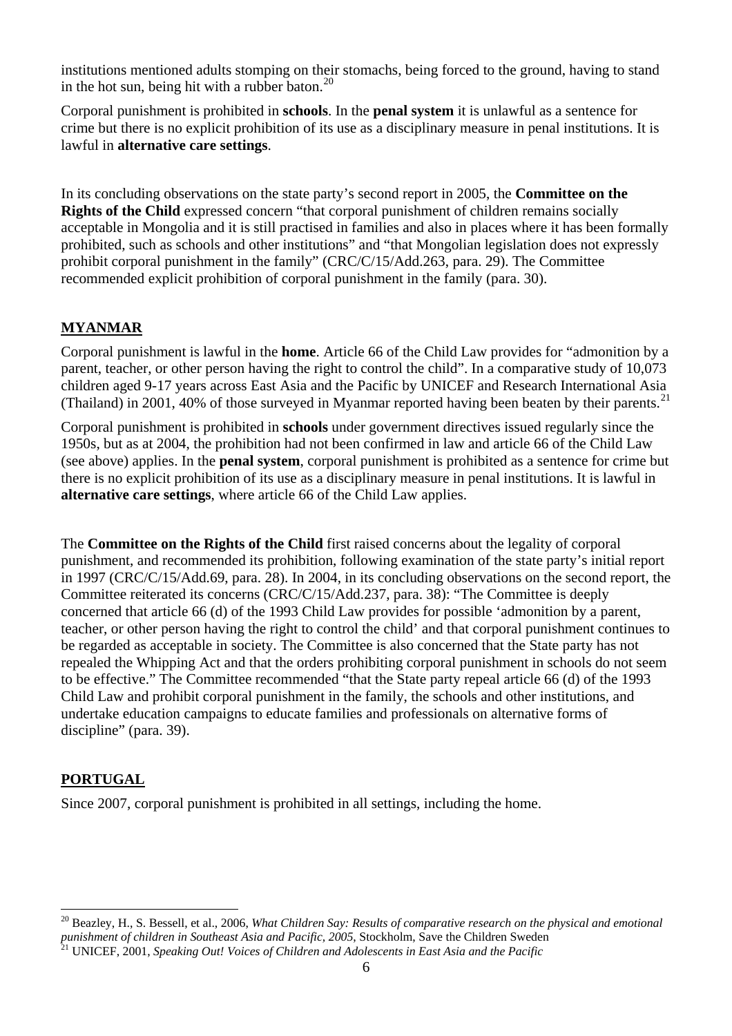institutions mentioned adults stomping on their stomachs, being forced to the ground, having to stand in the hot sun, being hit with a rubber baton. $^{20}$  $^{20}$  $^{20}$ 

Corporal punishment is prohibited in **schools**. In the **penal system** it is unlawful as a sentence for crime but there is no explicit prohibition of its use as a disciplinary measure in penal institutions. It is lawful in **alternative care settings**.

In its concluding observations on the state party's second report in 2005, the **Committee on the Rights of the Child** expressed concern "that corporal punishment of children remains socially acceptable in Mongolia and it is still practised in families and also in places where it has been formally prohibited, such as schools and other institutions" and "that Mongolian legislation does not expressly prohibit corporal punishment in the family" (CRC/C/15/Add.263, para. 29). The Committee recommended explicit prohibition of corporal punishment in the family (para. 30).

### **MYANMAR**

Corporal punishment is lawful in the **home**. Article 66 of the Child Law provides for "admonition by a parent, teacher, or other person having the right to control the child". In a comparative study of 10,073 children aged 9-17 years across East Asia and the Pacific by UNICEF and Research International Asia (Thailand) in 2001, 40% of those surveyed in Myanmar reported having been beaten by their parents.<sup>[21](#page-5-1)</sup>

Corporal punishment is prohibited in **schools** under government directives issued regularly since the 1950s, but as at 2004, the prohibition had not been confirmed in law and article 66 of the Child Law (see above) applies. In the **penal system**, corporal punishment is prohibited as a sentence for crime but there is no explicit prohibition of its use as a disciplinary measure in penal institutions. It is lawful in **alternative care settings**, where article 66 of the Child Law applies.

The **Committee on the Rights of the Child** first raised concerns about the legality of corporal punishment, and recommended its prohibition, following examination of the state party's initial report in 1997 (CRC/C/15/Add.69, para. 28). In 2004, in its concluding observations on the second report, the Committee reiterated its concerns (CRC/C/15/Add.237, para. 38): "The Committee is deeply concerned that article 66 (d) of the 1993 Child Law provides for possible 'admonition by a parent, teacher, or other person having the right to control the child' and that corporal punishment continues to be regarded as acceptable in society. The Committee is also concerned that the State party has not repealed the Whipping Act and that the orders prohibiting corporal punishment in schools do not seem to be effective." The Committee recommended "that the State party repeal article 66 (d) of the 1993 Child Law and prohibit corporal punishment in the family, the schools and other institutions, and undertake education campaigns to educate families and professionals on alternative forms of discipline" (para. 39).

#### **PORTUGAL**

 $\overline{a}$ 

Since 2007, corporal punishment is prohibited in all settings, including the home.

<span id="page-5-0"></span><sup>&</sup>lt;sup>20</sup> Beazley, H., S. Bessell, et al., 2006, *What Children Say: Results of comparative research on the physical and emotional punishment of children in Southeast Asia and Pacific, 2005*, Stockholm, Save the Children Sweden 21 UNICEF, 2001, *Speaking Out! Voices of Children and Adolescents in East Asia and the Pacific*

<span id="page-5-1"></span>